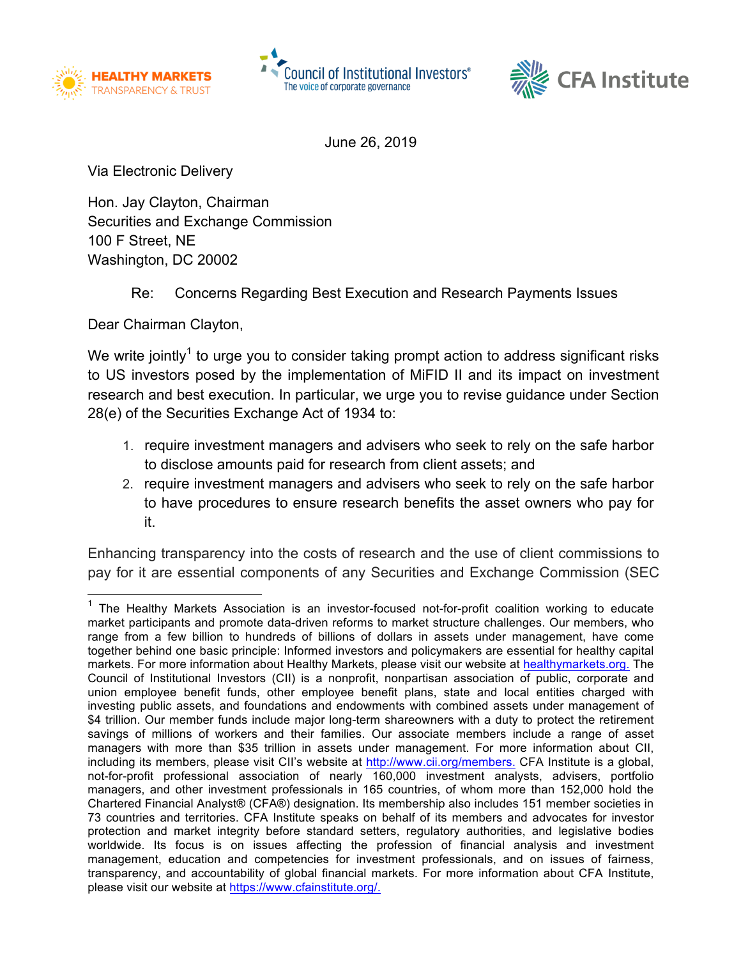





June 26, 2019

Via Electronic Delivery

Hon. Jay Clayton, Chairman Securities and Exchange Commission 100 F Street, NE Washington, DC 20002

Re: Concerns Regarding Best Execution and Research Payments Issues

Dear Chairman Clayton,

We write jointly<sup>1</sup> to urge you to consider taking prompt action to address significant risks to US investors posed by the implementation of MiFID II and its impact on investment research and best execution. In particular, we urge you to revise guidance under Section 28(e) of the Securities Exchange Act of 1934 to:

- 1. require investment managers and advisers who seek to rely on the safe harbor to disclose amounts paid for research from client assets; and
- 2. require investment managers and advisers who seek to rely on the safe harbor to have procedures to ensure research benefits the asset owners who pay for it.

Enhancing transparency into the costs of research and the use of client commissions to pay for it are essential components of any Securities and Exchange Commission (SEC

 $1$  The Healthy Markets Association is an investor-focused not-for-profit coalition working to educate market participants and promote data-driven reforms to market structure challenges. Our members, who range from a few billion to hundreds of billions of dollars in assets under management, have come together behind one basic principle: Informed investors and policymakers are essential for healthy capital markets. For more information about Healthy Markets, please visit our website at healthymarkets.org. The Council of Institutional Investors (CII) is a nonprofit, nonpartisan association of public, corporate and union employee benefit funds, other employee benefit plans, state and local entities charged with investing public assets, and foundations and endowments with combined assets under management of \$4 trillion. Our member funds include major long-term shareowners with a duty to protect the retirement savings of millions of workers and their families. Our associate members include a range of asset managers with more than \$35 trillion in assets under management. For more information about CII, including its members, please visit CII's website at http://www.cii.org/members. CFA Institute is a global, not-for-profit professional association of nearly 160,000 investment analysts, advisers, portfolio managers, and other investment professionals in 165 countries, of whom more than 152,000 hold the Chartered Financial Analyst® (CFA®) designation. Its membership also includes 151 member societies in 73 countries and territories. CFA Institute speaks on behalf of its members and advocates for investor protection and market integrity before standard setters, regulatory authorities, and legislative bodies worldwide. Its focus is on issues affecting the profession of financial analysis and investment management, education and competencies for investment professionals, and on issues of fairness, transparency, and accountability of global financial markets. For more information about CFA Institute, please visit our website at https://www.cfainstitute.org/.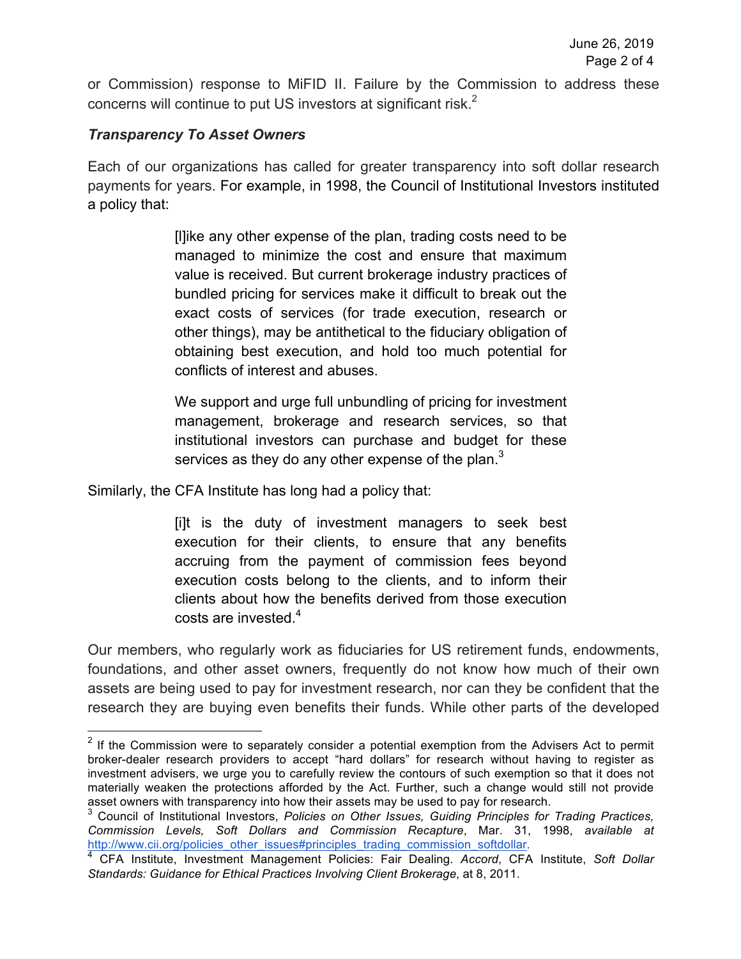or Commission) response to MiFID II. Failure by the Commission to address these concerns will continue to put US investors at significant risk.<sup>2</sup>

## *Transparency To Asset Owners*

Each of our organizations has called for greater transparency into soft dollar research payments for years. For example, in 1998, the Council of Institutional Investors instituted a policy that:

> [l]ike any other expense of the plan, trading costs need to be managed to minimize the cost and ensure that maximum value is received. But current brokerage industry practices of bundled pricing for services make it difficult to break out the exact costs of services (for trade execution, research or other things), may be antithetical to the fiduciary obligation of obtaining best execution, and hold too much potential for conflicts of interest and abuses.

> We support and urge full unbundling of pricing for investment management, brokerage and research services, so that institutional investors can purchase and budget for these services as they do any other expense of the plan.<sup>3</sup>

Similarly, the CFA Institute has long had a policy that:

[i]t is the duty of investment managers to seek best execution for their clients, to ensure that any benefits accruing from the payment of commission fees beyond execution costs belong to the clients, and to inform their clients about how the benefits derived from those execution costs are invested.<sup>4</sup>

Our members, who regularly work as fiduciaries for US retirement funds, endowments, foundations, and other asset owners, frequently do not know how much of their own assets are being used to pay for investment research, nor can they be confident that the research they are buying even benefits their funds. While other parts of the developed

 $2$  If the Commission were to separately consider a potential exemption from the Advisers Act to permit broker-dealer research providers to accept "hard dollars" for research without having to register as investment advisers, we urge you to carefully review the contours of such exemption so that it does not materially weaken the protections afforded by the Act. Further, such a change would still not provide asset owners with transparency into how their assets may be used to pay for research.

<sup>3</sup> Council of Institutional Investors, *Policies on Other Issues, Guiding Principles for Trading Practices, Commission Levels, Soft Dollars and Commission Recapture*, Mar. 31, 1998, *available at* 

<sup>&</sup>lt;sup>4</sup> CFA Institute, Investment Management Policies: Fair Dealing. Accord, CFA Institute, Soft Dollar *Standards: Guidance for Ethical Practices Involving Client Brokerage*, at 8, 2011.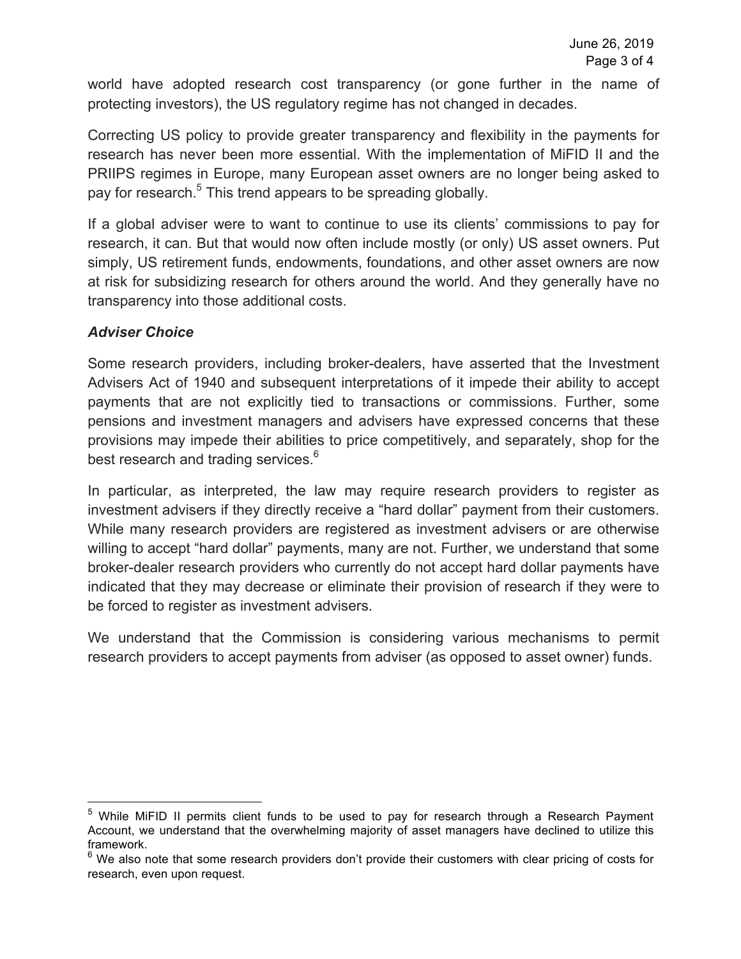world have adopted research cost transparency (or gone further in the name of protecting investors), the US regulatory regime has not changed in decades.

Correcting US policy to provide greater transparency and flexibility in the payments for research has never been more essential. With the implementation of MiFID II and the PRIIPS regimes in Europe, many European asset owners are no longer being asked to pay for research.<sup>5</sup> This trend appears to be spreading globally.

If a global adviser were to want to continue to use its clients' commissions to pay for research, it can. But that would now often include mostly (or only) US asset owners. Put simply, US retirement funds, endowments, foundations, and other asset owners are now at risk for subsidizing research for others around the world. And they generally have no transparency into those additional costs.

## *Adviser Choice*

Some research providers, including broker-dealers, have asserted that the Investment Advisers Act of 1940 and subsequent interpretations of it impede their ability to accept payments that are not explicitly tied to transactions or commissions. Further, some pensions and investment managers and advisers have expressed concerns that these provisions may impede their abilities to price competitively, and separately, shop for the best research and trading services.<sup>6</sup>

In particular, as interpreted, the law may require research providers to register as investment advisers if they directly receive a "hard dollar" payment from their customers. While many research providers are registered as investment advisers or are otherwise willing to accept "hard dollar" payments, many are not. Further, we understand that some broker-dealer research providers who currently do not accept hard dollar payments have indicated that they may decrease or eliminate their provision of research if they were to be forced to register as investment advisers.

We understand that the Commission is considering various mechanisms to permit research providers to accept payments from adviser (as opposed to asset owner) funds.

<sup>&</sup>lt;sup>5</sup> While MiFID II permits client funds to be used to pay for research through a Research Payment Account, we understand that the overwhelming majority of asset managers have declined to utilize this framework.

 $6$  We also note that some research providers don't provide their customers with clear pricing of costs for research, even upon request.